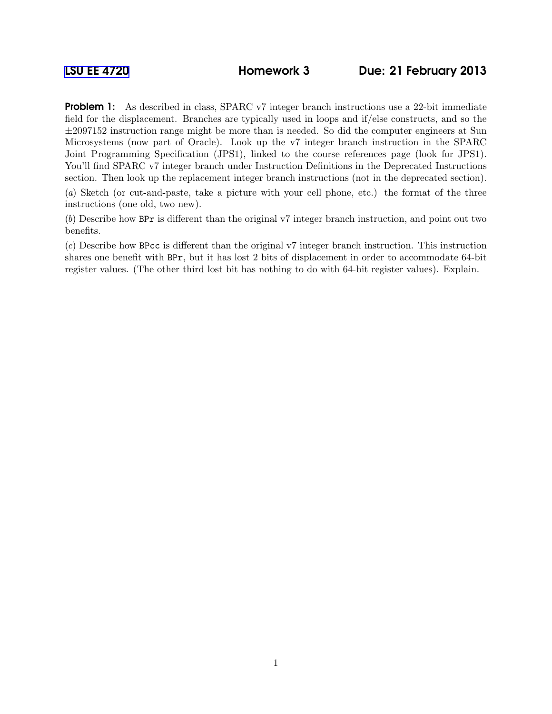**Problem 1:** As described in class, SPARC v7 integer branch instructions use a 22-bit immediate field for the displacement. Branches are typically used in loops and if/else constructs, and so the  $\pm 2097152$  instruction range might be more than is needed. So did the computer engineers at Sun Microsystems (now part of Oracle). Look up the v7 integer branch instruction in the SPARC Joint Programming Specification (JPS1), linked to the course references page (look for JPS1). You'll find SPARC v7 integer branch under Instruction Definitions in the Deprecated Instructions section. Then look up the replacement integer branch instructions (not in the deprecated section). (a) Sketch (or cut-and-paste, take a picture with your cell phone, etc.) the format of the three instructions (one old, two new).

(b) Describe how BPr is different than the original v7 integer branch instruction, and point out two benefits.

(c) Describe how BPcc is different than the original v7 integer branch instruction. This instruction shares one benefit with BPr, but it has lost 2 bits of displacement in order to accommodate 64-bit register values. (The other third lost bit has nothing to do with 64-bit register values). Explain.